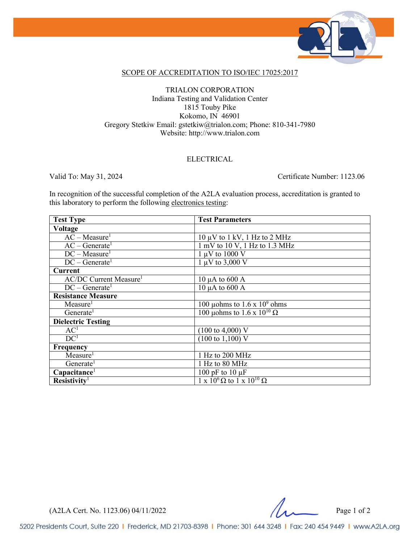

### SCOPE OF ACCREDITATION TO ISO/IEC 17025:2017

### TRIALON CORPORATION Indiana Testing and Validation Center 1815 Touby Pike Kokomo, IN 46901 Gregory Stetkiw Email: gstetkiw@trialon.com; Phone: 810-341-7980 Website: http://www.trialon.com

### ELECTRICAL

Valid To: May 31, 2024 Certificate Number: 1123.06

In recognition of the successful completion of the A2LA evaluation process, accreditation is granted to this laboratory to perform the following electronics testing:

| <b>Test Type</b>                          | <b>Test Parameters</b>                                                 |
|-------------------------------------------|------------------------------------------------------------------------|
| <b>Voltage</b>                            |                                                                        |
| $AC - Measure1$                           | $10 \mu V$ to $1 \text{ kV}$ , $1 \text{ Hz}$ to $2 \text{ MHz}$       |
| $AC - Generate1$                          | $1 \text{ mV}$ to $10 \text{ V}$ , $1 \text{ Hz}$ to $1.3 \text{ MHz}$ |
| $DC - Measure1$                           | $1 \mu V$ to 1000 V                                                    |
| $DC - Generate1$                          | $1 \mu V$ to 3,000 V                                                   |
| <b>Current</b>                            |                                                                        |
| <b>AC/DC Current Measure</b> <sup>1</sup> | $10 \mu A$ to $600 A$                                                  |
| $DC - Generate1$                          | $10 \mu A$ to $600 A$                                                  |
| <b>Resistance Measure</b>                 |                                                                        |
| Measure <sup>1</sup>                      | 100 µohms to $1.6 \times 10^9$ ohms                                    |
| Generate <sup>1</sup>                     | 100 µohms to 1.6 x $10^{10}$ $\Omega$                                  |
| <b>Dielectric Testing</b>                 |                                                                        |
| AC <sup>1</sup>                           | $(100 \text{ to } 4,000) \text{ V}$                                    |
| DC <sup>1</sup>                           | $(100 \text{ to } 1,100) \text{ V}$                                    |
| Frequency                                 |                                                                        |
| Measure <sup>1</sup>                      | 1 Hz to 200 MHz                                                        |
| Generate                                  | 1 Hz to 80 MHz                                                         |
| Capacitance <sup>1</sup>                  | 100 pF to 10 $\mu$ F                                                   |
| Resistivity <sup>1</sup>                  | $1 \times 10^6 \Omega$ to $1 \times 10^{10} \Omega$                    |

 $(A2LA$  Cert. No. 1123.06) 04/11/2022 Page 1 of 2

5202 Presidents Court, Suite 220 | Frederick, MD 21703-8398 | Phone: 301 644 3248 | Fax: 240 454 9449 | www.A2LA.org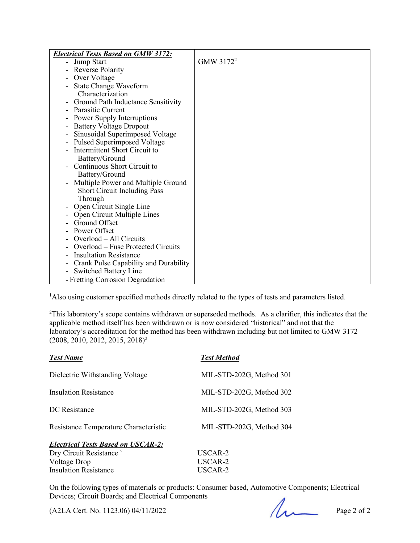| <b>Electrical Tests Based on GMW 3172:</b> |                       |
|--------------------------------------------|-----------------------|
| - Jump Start                               | GMW 3172 <sup>2</sup> |
| - Reverse Polarity                         |                       |
| Over Voltage                               |                       |
| State Change Waveform                      |                       |
| Characterization                           |                       |
| - Ground Path Inductance Sensitivity       |                       |
| <b>Parasitic Current</b>                   |                       |
| Power Supply Interruptions                 |                       |
| <b>Battery Voltage Dropout</b>             |                       |
| Sinusoidal Superimposed Voltage            |                       |
| Pulsed Superimposed Voltage                |                       |
| Intermittent Short Circuit to              |                       |
| Battery/Ground                             |                       |
| Continuous Short Circuit to                |                       |
| Battery/Ground                             |                       |
| Multiple Power and Multiple Ground         |                       |
| <b>Short Circuit Including Pass</b>        |                       |
| Through                                    |                       |
| Open Circuit Single Line                   |                       |
| Open Circuit Multiple Lines                |                       |
| Ground Offset                              |                       |
| Power Offset                               |                       |
| Overload - All Circuits                    |                       |
| Overload – Fuse Protected Circuits         |                       |
| <b>Insultation Resistance</b>              |                       |
| Crank Pulse Capability and Durability      |                       |
| <b>Switched Battery Line</b>               |                       |
| - Fretting Corrosion Degradation           |                       |

<sup>1</sup>Also using customer specified methods directly related to the types of tests and parameters listed.

<sup>2</sup>This laboratory's scope contains withdrawn or superseded methods. As a clarifier, this indicates that the applicable method itself has been withdrawn or is now considered "historical" and not that the laboratory's accreditation for the method has been withdrawn including but not limited to GMW 3172  $(2008, 2010, 2012, 2015, 2018)^2$ 

| <b>Test Name</b>                          | <b>Test Method</b>       |
|-------------------------------------------|--------------------------|
| Dielectric Withstanding Voltage           | MIL-STD-202G, Method 301 |
| <b>Insulation Resistance</b>              | MIL-STD-202G, Method 302 |
| DC Resistance                             | MIL-STD-202G, Method 303 |
| Resistance Temperature Characteristic     | MIL-STD-202G, Method 304 |
| <b>Electrical Tests Based on USCAR-2:</b> |                          |
| Dry Circuit Resistance                    | USCAR-2                  |
| Voltage Drop                              | USCAR-2                  |

On the following types of materials or products: Consumer based, Automotive Components; Electrical Devices; Circuit Boards; and Electrical Components

 $(A2LA$  Cert. No. 1123.06) 04/11/2022 Page 2 of 2

Insulation Resistance USCAR-2